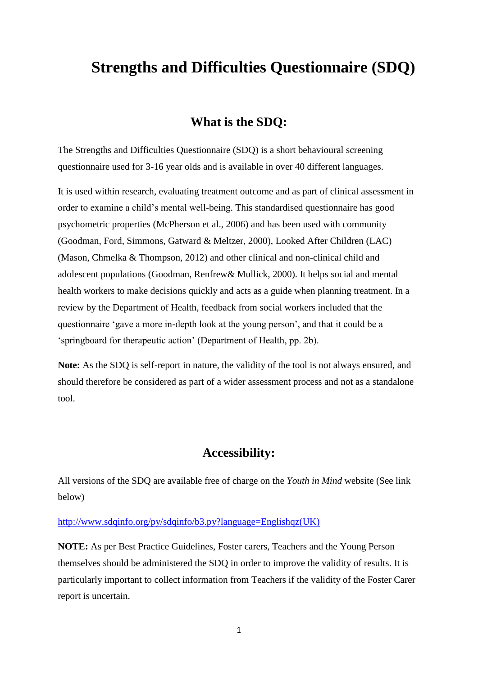# **Strengths and Difficulties Questionnaire (SDQ)**

### **What is the SDQ:**

The Strengths and Difficulties Questionnaire (SDQ) is a short behavioural screening questionnaire used for 3-16 year olds and is available in over 40 different languages.

It is used within research, evaluating treatment outcome and as part of clinical assessment in order to examine a child's mental well-being. This standardised questionnaire has good psychometric properties (McPherson et al., 2006) and has been used with community (Goodman, Ford, Simmons, Gatward & Meltzer, 2000), Looked After Children (LAC) (Mason, Chmelka & Thompson, 2012) and other clinical and non-clinical child and adolescent populations (Goodman, Renfrew& Mullick, 2000). It helps social and mental health workers to make decisions quickly and acts as a guide when planning treatment. In a review by the Department of Health, feedback from social workers included that the questionnaire 'gave a more in-depth look at the young person', and that it could be a 'springboard for therapeutic action' (Department of Health, pp. 2b).

**Note:** As the SDQ is self-report in nature, the validity of the tool is not always ensured, and should therefore be considered as part of a wider assessment process and not as a standalone tool.

## **Accessibility:**

All versions of the SDQ are available free of charge on the *Youth in Mind* website (See link below)

#### [http://www.sdqinfo.org/py/sdqinfo/b3.py?language=Englishqz\(UK\)](http://www.sdqinfo.org/py/sdqinfo/b3.py?language=Englishqz(UK))

**NOTE:** As per Best Practice Guidelines, Foster carers, Teachers and the Young Person themselves should be administered the SDQ in order to improve the validity of results. It is particularly important to collect information from Teachers if the validity of the Foster Carer report is uncertain.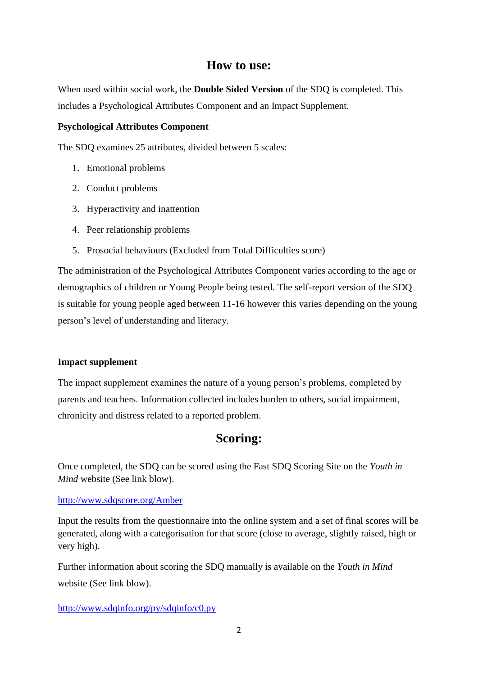### **How to use:**

When used within social work, the **Double Sided Version** of the SDQ is completed. This includes a Psychological Attributes Component and an Impact Supplement.

#### **Psychological Attributes Component**

The SDQ examines 25 attributes, divided between 5 scales:

- 1. Emotional problems
- 2. Conduct problems
- 3. Hyperactivity and inattention
- 4. Peer relationship problems
- 5. Prosocial behaviours (Excluded from Total Difficulties score)

The administration of the Psychological Attributes Component varies according to the age or demographics of children or Young People being tested. The self-report version of the SDQ is suitable for young people aged between 11-16 however this varies depending on the young person's level of understanding and literacy.

#### **Impact supplement**

The impact supplement examines the nature of a young person's problems, completed by parents and teachers. Information collected includes burden to others, social impairment, chronicity and distress related to a reported problem.

# **Scoring:**

Once completed, the SDQ can be scored using the Fast SDQ Scoring Site on the *Youth in Mind* website (See link blow).

#### <http://www.sdqscore.org/Amber>

Input the results from the questionnaire into the online system and a set of final scores will be generated, along with a categorisation for that score (close to average, slightly raised, high or very high).

Further information about scoring the SDQ manually is available on the *Youth in Mind* website (See link blow).

<http://www.sdqinfo.org/py/sdqinfo/c0.py>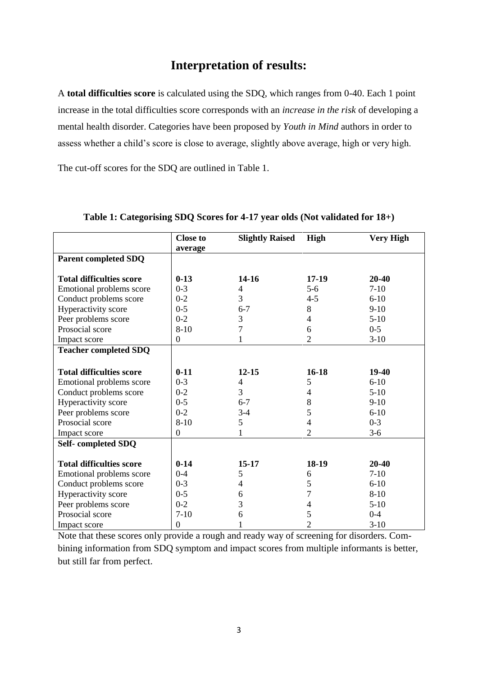### **Interpretation of results:**

A **total difficulties score** is calculated using the SDQ, which ranges from 0-40. Each 1 point increase in the total difficulties score corresponds with an *increase in the risk* of developing a mental health disorder. Categories have been proposed by *Youth in Mind* authors in order to assess whether a child's score is close to average, slightly above average, high or very high.

The cut-off scores for the SDQ are outlined in Table 1.

|                                 | <b>Close to</b><br>average | <b>Slightly Raised</b> | High           | <b>Very High</b> |
|---------------------------------|----------------------------|------------------------|----------------|------------------|
| <b>Parent completed SDQ</b>     |                            |                        |                |                  |
| <b>Total difficulties score</b> | $0-13$                     | $14 - 16$              | $17-19$        | $20 - 40$        |
| Emotional problems score        | $0 - 3$                    | 4                      | $5-6$          | $7-10$           |
| Conduct problems score          | $0 - 2$                    | 3                      | $4 - 5$        | $6 - 10$         |
| Hyperactivity score             | $0 - 5$                    | $6 - 7$                | 8              | $9 - 10$         |
| Peer problems score             | $0 - 2$                    | 3                      | 4              | $5-10$           |
| Prosocial score                 | $8 - 10$                   | 7                      | 6              | $0 - 5$          |
| Impact score                    | $\boldsymbol{0}$           |                        | $\overline{c}$ | $3-10$           |
| <b>Teacher completed SDQ</b>    |                            |                        |                |                  |
|                                 |                            |                        |                |                  |
| <b>Total difficulties score</b> | $0-11$                     | $12 - 15$              | $16 - 18$      | 19-40            |
| Emotional problems score        | $0 - 3$                    | 4                      | 5              | $6-10$           |
| Conduct problems score          | $0 - 2$                    | 3                      | 4              | $5-10$           |
| Hyperactivity score             | $0 - 5$                    | $6 - 7$                | 8              | $9-10$           |
| Peer problems score             | $0 - 2$                    | $3-4$                  | 5              | $6 - 10$         |
| Prosocial score                 | $8 - 10$                   | 5                      | 4              | $0 - 3$          |
| Impact score                    | $\theta$                   |                        | 2              | $3-6$            |
| Self-completed SDQ              |                            |                        |                |                  |
|                                 |                            |                        |                |                  |
| <b>Total difficulties score</b> | $0 - 14$                   | $15 - 17$              | 18-19          | 20-40            |
| Emotional problems score        | $0 - 4$                    | 5                      | 6              | $7 - 10$         |
| Conduct problems score          | $0 - 3$                    | 4                      | 5              | $6 - 10$         |
| Hyperactivity score             | $0 - 5$                    | 6                      | 7              | $8 - 10$         |
| Peer problems score             | $0 - 2$                    | 3                      | 4              | $5-10$           |
| Prosocial score                 | $7-10$                     | 6                      | 5              | $0 - 4$          |
| Impact score                    | $\boldsymbol{0}$           |                        | $\overline{2}$ | $3-10$           |

#### **Table 1: Categorising SDQ Scores for 4-17 year olds (Not validated for 18+)**

Note that these scores only provide a rough and ready way of screening for disorders. Combining information from SDQ symptom and impact scores from multiple informants is better, but still far from perfect.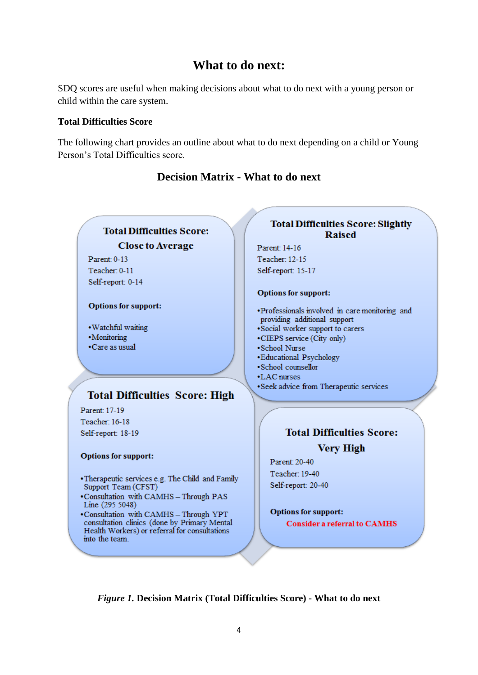# **What to do next:**

SDQ scores are useful when making decisions about what to do next with a young person or child within the care system.

#### **Total Difficulties Score**

into the team.

The following chart provides an outline about what to do next depending on a child or Young Person's Total Difficulties score.



### **Decision Matrix - What to do next**

*Figure 1.* **Decision Matrix (Total Difficulties Score) - What to do next**

# **Total Difficulties Score: Very High**

**Raised** 

Teacher: 19-40 Self-report: 20-40

**Options for support: Consider a referral to CAMHS**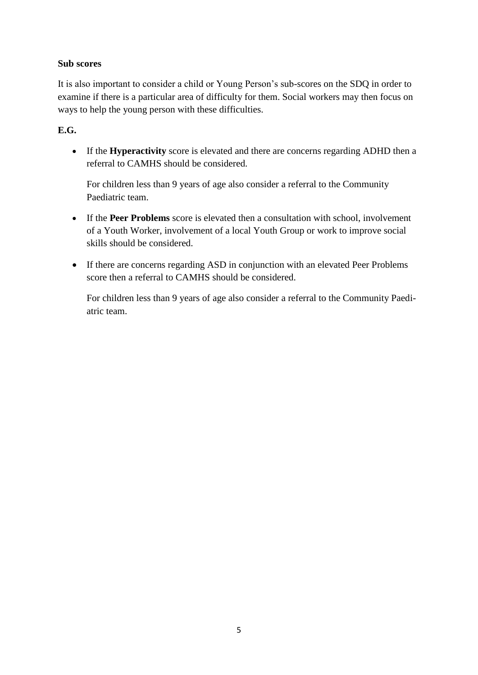### **Sub scores**

It is also important to consider a child or Young Person's sub-scores on the SDQ in order to examine if there is a particular area of difficulty for them. Social workers may then focus on ways to help the young person with these difficulties.

### **E.G.**

 If the **Hyperactivity** score is elevated and there are concerns regarding ADHD then a referral to CAMHS should be considered.

For children less than 9 years of age also consider a referral to the Community Paediatric team.

- If the **Peer Problems** score is elevated then a consultation with school, involvement of a Youth Worker, involvement of a local Youth Group or work to improve social skills should be considered.
- If there are concerns regarding ASD in conjunction with an elevated Peer Problems score then a referral to CAMHS should be considered.

For children less than 9 years of age also consider a referral to the Community Paediatric team.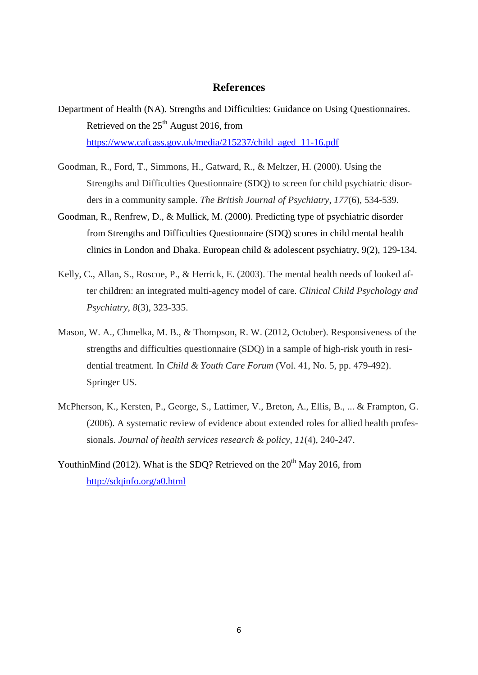#### **References**

- Department of Health (NA). Strengths and Difficulties: Guidance on Using Questionnaires. Retrieved on the 25<sup>th</sup> August 2016, from [https://www.cafcass.gov.uk/media/215237/child\\_aged\\_11-16.pdf](https://www.cafcass.gov.uk/media/215237/child_aged_11-16.pdf)
- Goodman, R., Ford, T., Simmons, H., Gatward, R., & Meltzer, H. (2000). Using the Strengths and Difficulties Questionnaire (SDQ) to screen for child psychiatric disorders in a community sample. *The British Journal of Psychiatry*, *177*(6), 534-539.
- Goodman, R., Renfrew, D., & Mullick, M. (2000). Predicting type of psychiatric disorder from Strengths and Difficulties Questionnaire (SDQ) scores in child mental health clinics in London and Dhaka. European child & adolescent psychiatry, 9(2), 129-134.
- Kelly, C., Allan, S., Roscoe, P., & Herrick, E. (2003). The mental health needs of looked after children: an integrated multi-agency model of care. *Clinical Child Psychology and Psychiatry*, *8*(3), 323-335.
- Mason, W. A., Chmelka, M. B., & Thompson, R. W. (2012, October). Responsiveness of the strengths and difficulties questionnaire (SDQ) in a sample of high-risk youth in residential treatment. In *Child & Youth Care Forum* (Vol. 41, No. 5, pp. 479-492). Springer US.
- McPherson, K., Kersten, P., George, S., Lattimer, V., Breton, A., Ellis, B., ... & Frampton, G. (2006). A systematic review of evidence about extended roles for allied health professionals. *Journal of health services research & policy*, *11*(4), 240-247.
- YouthinMind (2012). What is the SDO? Retrieved on the  $20<sup>th</sup>$  May 2016, from <http://sdqinfo.org/a0.html>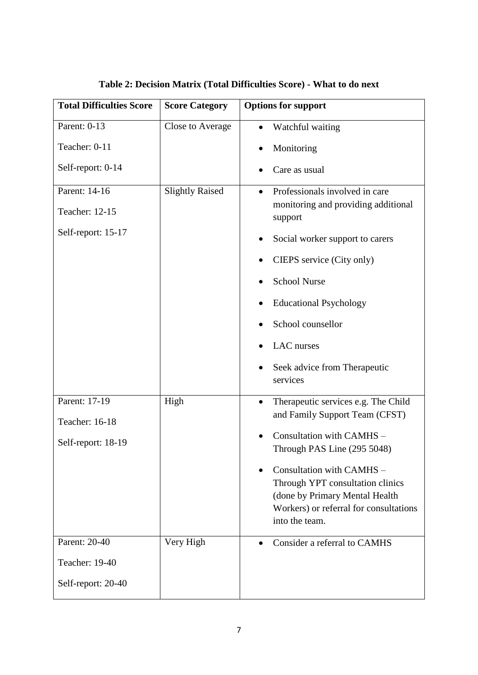| <b>Total Difficulties Score</b> | <b>Score Category</b>  | <b>Options for support</b>                                               |  |
|---------------------------------|------------------------|--------------------------------------------------------------------------|--|
| Parent: 0-13                    | Close to Average       | Watchful waiting                                                         |  |
| Teacher: 0-11                   |                        | Monitoring                                                               |  |
| Self-report: 0-14               |                        | Care as usual                                                            |  |
| Parent: 14-16                   | <b>Slightly Raised</b> | Professionals involved in care<br>$\bullet$                              |  |
| Teacher: 12-15                  |                        | monitoring and providing additional<br>support                           |  |
| Self-report: 15-17              |                        | Social worker support to carers                                          |  |
|                                 |                        | CIEPS service (City only)                                                |  |
|                                 |                        | <b>School Nurse</b>                                                      |  |
|                                 |                        | <b>Educational Psychology</b>                                            |  |
|                                 |                        | School counsellor                                                        |  |
|                                 |                        | LAC nurses                                                               |  |
|                                 |                        | Seek advice from Therapeutic<br>services                                 |  |
| Parent: 17-19                   | High                   | Therapeutic services e.g. The Child                                      |  |
| Teacher: 16-18                  |                        | and Family Support Team (CFST)                                           |  |
| Self-report: 18-19              |                        | Consultation with CAMHS -<br>Through PAS Line (295 5048)                 |  |
|                                 |                        | Consultation with CAMHS -                                                |  |
|                                 |                        | Through YPT consultation clinics                                         |  |
|                                 |                        | (done by Primary Mental Health<br>Workers) or referral for consultations |  |
|                                 |                        | into the team.                                                           |  |
| Parent: 20-40                   | Very High              | Consider a referral to CAMHS                                             |  |
| Teacher: 19-40                  |                        |                                                                          |  |
| Self-report: 20-40              |                        |                                                                          |  |

**Table 2: Decision Matrix (Total Difficulties Score) - What to do next**